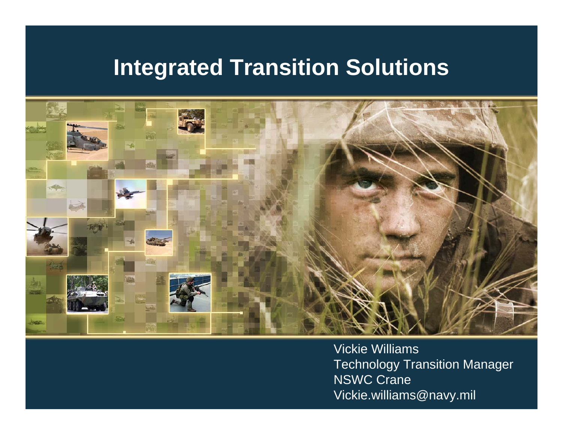

Vickie Williams **Technology Transition Manager** NSWC Crane Vickie.williams@navy.mil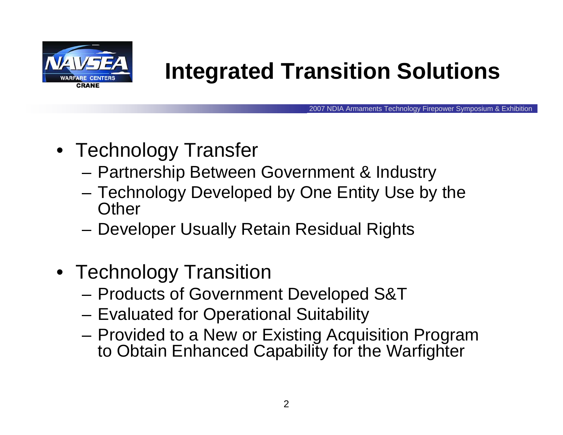

2007 NDIA Armaments Technology Firepower Symposium & Exhibition

- Technology Transfer
	- and the state of the Partnership Between Government & Industry
	- **Links of the Company**  Technology Developed by One Entity Use by the **Other**
	- **Links of the Company** Developer Usually Retain Residual Rights
- Technology Transition
	- **Links of the Company** Products of Government Developed S&T
	- –Evaluated for Operational Suitability
	- and the state of the Provided to a New or Existing Acquisition Program to Obtain Enhanced Capability for the Warfighter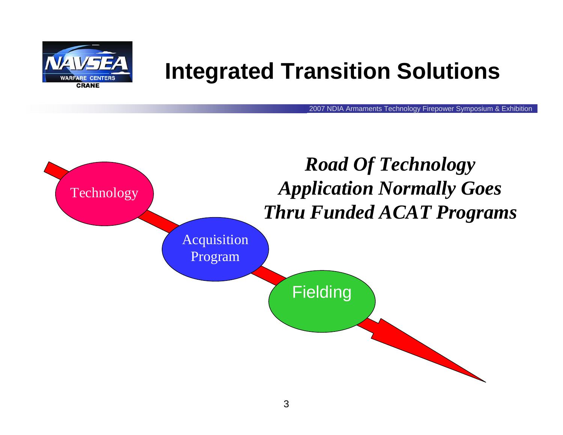

2007 NDIA Armaments Technology Firepower Symposium & Exhibition

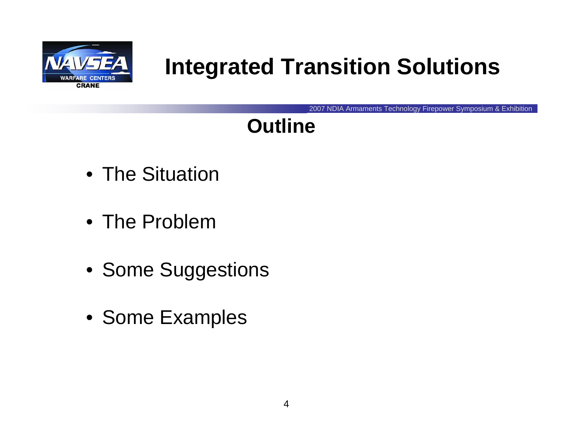

2007 NDIA Armaments Technology Firepower Symposium & Exhibition

## **Outline**

- The Situation
- The Problem
- Some Suggestions
- Some Examples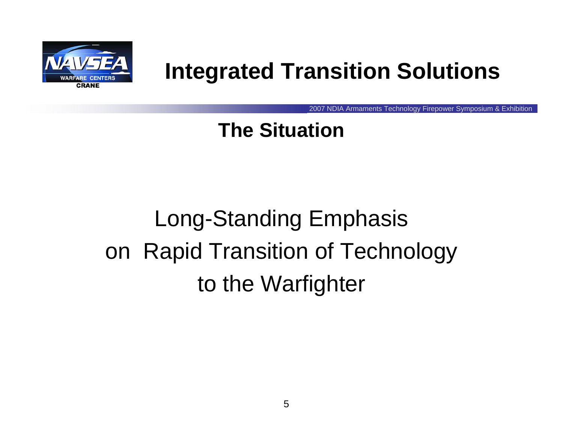

2007 NDIA Armaments Technology Firepower Symposium & Exhibition

#### **The Situation**

# Long-Standing Emphasis on Rapid Transition of Technology to the Warfighter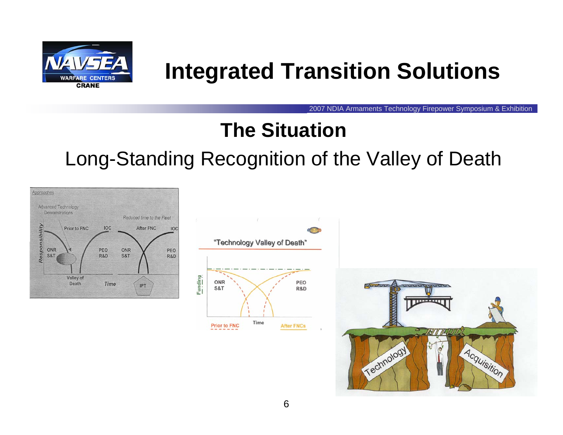

2007 NDIA Armaments Technology Firepower Symposium & Exhibition

#### **The Situation**

#### Long-Standing Recognition of the Valley of Death

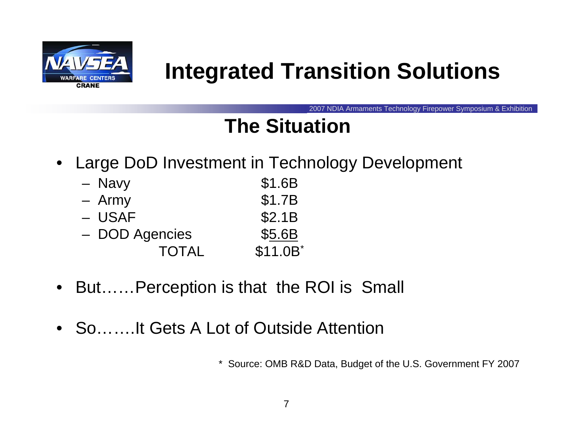

2007 NDIA Armaments Technology Firepower Symposium & Exhibition

#### **The Situation**

 $\bullet$ Large DoD Investment in Technology Development

| - Navy         | \$1.6B   |
|----------------|----------|
| - Army         | \$1.7B   |
| - USAF         | \$2.1B   |
| - DOD Agencies | \$5.6B   |
| <b>TOTAL</b>   | \$11.0B* |

- $\bullet$ But……Perception is that the ROI is Small
- So…….It Gets A Lot of Outside Attention

\* Source: OMB R&D Data, Budget of the U.S. Government FY 2007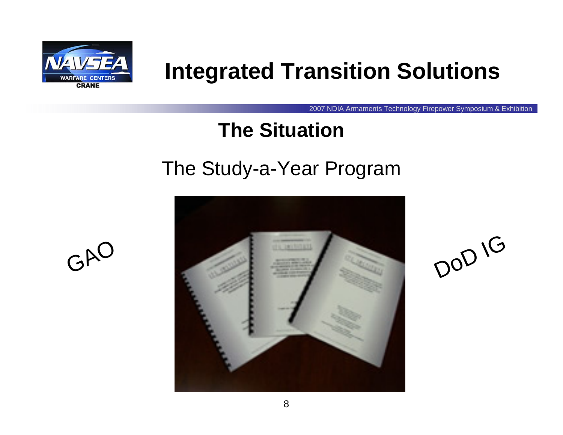

2007 NDIA Armaments Technology Firepower Symposium & Exhibition

#### **The Situation**

#### The Study-a-Year Program



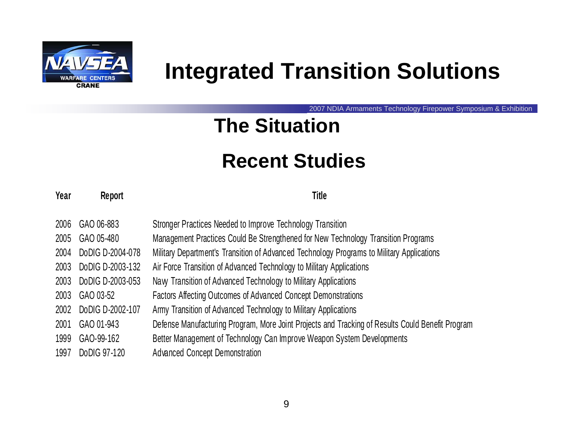

2007 NDIA Armaments Technology Firepower Symposium & Exhibition

#### **The Situation**

#### **Recent Studies**

#### **Year Report Title**

| 2006 | GAO 06-883       | Stronger Practices Needed to Improve Technology Transition                                       |
|------|------------------|--------------------------------------------------------------------------------------------------|
| 2005 | GAO 05-480       | Management Practices Could Be Strengthened for New Technology Transition Programs                |
| 2004 | DoDIG D-2004-078 | Military Department's Transition of Advanced Technology Programs to Military Applications        |
| 2003 | DoDIG D-2003-132 | Air Force Transition of Advanced Technology to Military Applications                             |
| 2003 | DoDIG D-2003-053 | Navy Transition of Advanced Technology to Military Applications                                  |
| 2003 | GAO 03-52        | Factors Affecting Outcomes of Advanced Concept Demonstrations                                    |
| 2002 | DoDIG D-2002-107 | Army Transition of Advanced Technology to Military Applications                                  |
| 2001 | GAO 01-943       | Defense Manufacturing Program, More Joint Projects and Tracking of Results Could Benefit Program |
| 1999 | GAO-99-162       | Better Management of Technology Can Improve Weapon System Developments                           |
| 1997 | Do DIG 97-120    | <b>Advanced Concept Demonstration</b>                                                            |
|      |                  |                                                                                                  |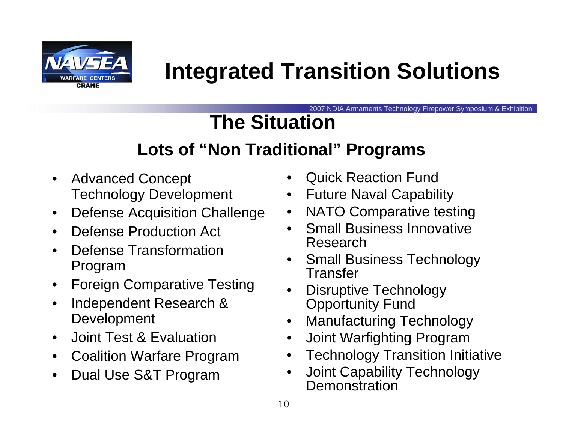

2007 NDIA Armaments Technology Firepower Symposium & Exhibition

## **The Situation**

#### **Lots of "Non Traditional" Programs**

- $\bullet$  Advanced Concept Technology Development
- $\bullet$ Defense Acquisition Challenge
- $\bullet$ Defense Production Act
- $\bullet$  Defense Transformation Program
- $\bullet$ Foreign Comparative Testing
- • Independent Research & Development
- $\bullet$ Joint Test & Evaluation
- $\bullet$ Coalition Warfare Program
- •Dual Use S&T Program
- •Quick Reaction Fund
- •Future Naval Capability
- $\bullet$ NATO Comparative testing
- • Small Business Innovative Research
- $\bullet$  Small Business Technology Transfer
- • Disruptive Technology Opportunity Fund
- $\bullet$ Manufacturing Technology
- •Joint Warfighting Program
- •Technology Transition Initiative
- $\bullet$  Joint Capability Technology **Demonstration**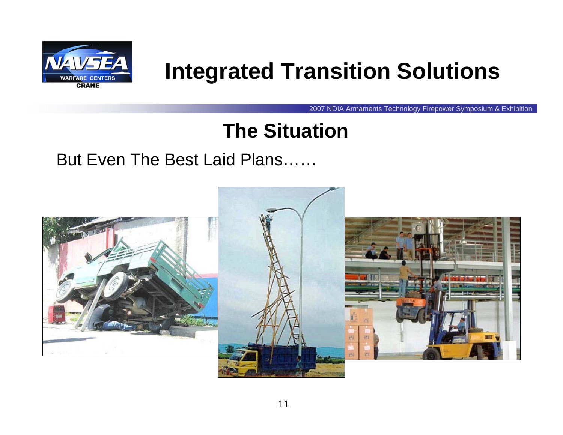

2007 NDIA Armaments Technology Firepower Symposium & Exhibition

#### **The Situation**

#### But Even The Best Laid Plans……

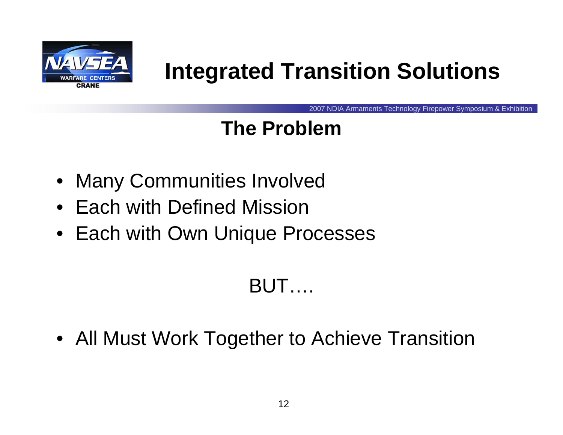

2007 NDIA Armaments Technology Firepower Symposium & Exhibition

#### **The Problem**

- Many Communities Involved
- Each with Defined Mission
- Each with Own Unique Processes

#### BUT….

• All Must Work Together to Achieve Transition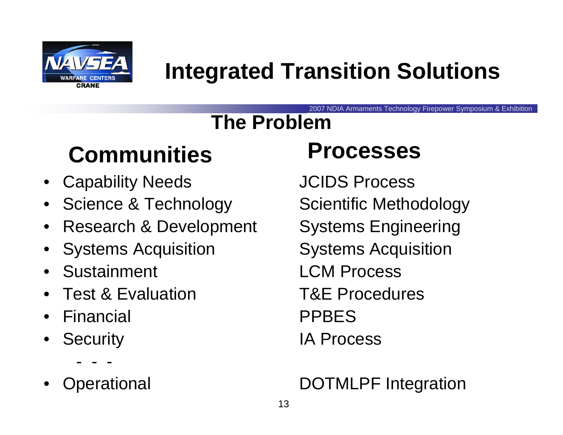

2007 NDIA Armaments Technology Firepower Symposium & Exhibition

## **The Problem**

## **Communities Processes**

- Capability Needs **JCIDS Process**
- Science & Technology Scientific Methodology
- •Research & Development Systems Engineering
- •Systems Acquisition Systems Acquisition
- Sustainment
- Test & Evaluation
- •Financial PPBES
- •Security **IA Process** 
	- ---
- •

Sustainment CCM Process T&E Procedures

#### perational **DOTMLPF** Integration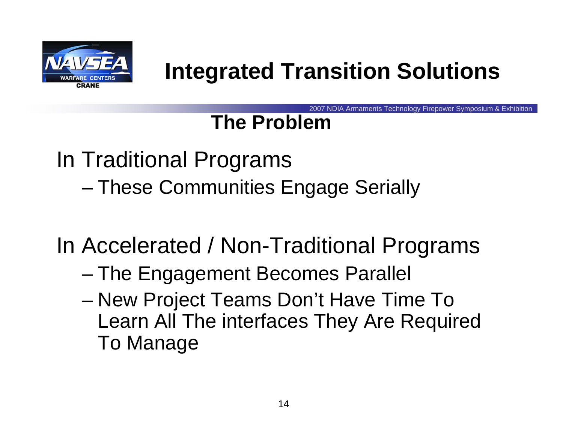

2007 NDIA Armaments Technology Firepower Symposium & Exhibition

#### **The Problem**

In Traditional Programs and the state of the state These Communities Engage Serially

In Accelerated / Non-Traditional Programs

- and the state of the state The Engagement Becomes Parallel
- and the state of the state New Project Teams Don't Have Time To Learn All The interfaces They Are Required To Manage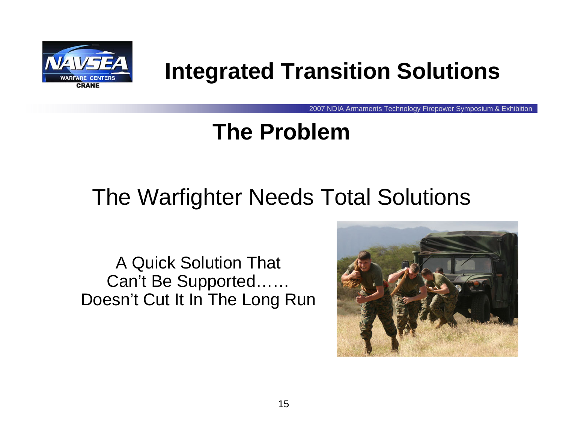

2007 NDIA Armaments Technology Firepower Symposium & Exhibition

## **The Problem**

## The Warfighter Needs Total Solutions

A Quick Solution That Can't Be Supported…… Doesn't Cut It In The Long Run

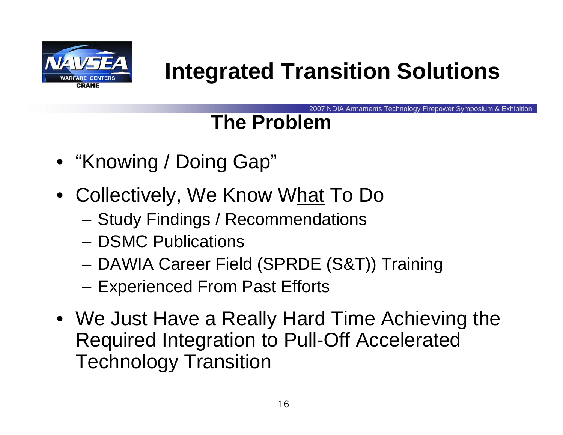

2007 NDIA Armaments Technology Firepower Symposium & Exhibition

## **The Problem**

- "Knowing / Doing Gap"
- Collectively, We Know W<u>hat</u> To Do
	- **Links of the Company** Study Findings / Recommendations
	- DSMC Publications
	- –DAWIA Career Field (SPRDE (S&T)) Training
	- **Links of the Company** Experienced From Past Efforts
- We Just Have a Really Hard Time Achieving the Required Integration to Pull-Off Accelerated Technology Transition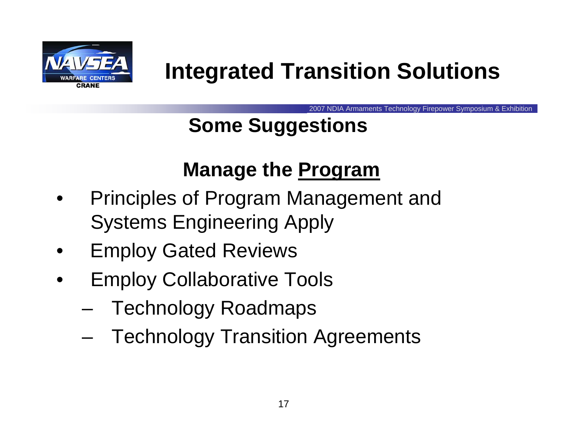

2007 NDIA Armaments Technology Firepower Symposium & Exhibition

## **Some Suggestions**

#### **Manage the Program**

- • Principles of Program Management and Systems Engineering Apply
- •Employ Gated Reviews
- • Employ Collaborative Tools
	- and the state of the state Technology Roadmaps
	- –Technology Transition Agreements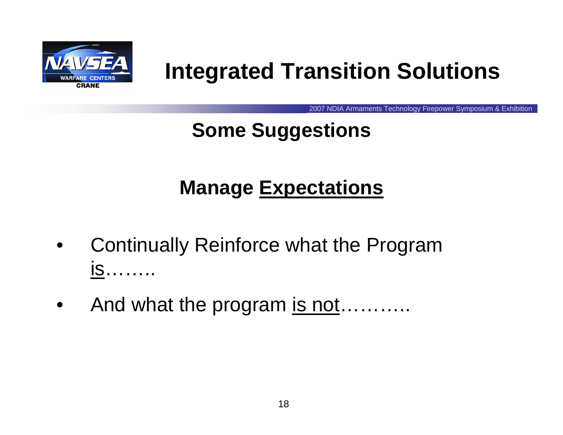

2007 NDIA Armaments Technology Firepower Symposium & Exhibition

## **Some Suggestions**

## **Manage Expectations**

- • Continually Reinforce what the Program is……..
- $\bullet$ And what the program is not………..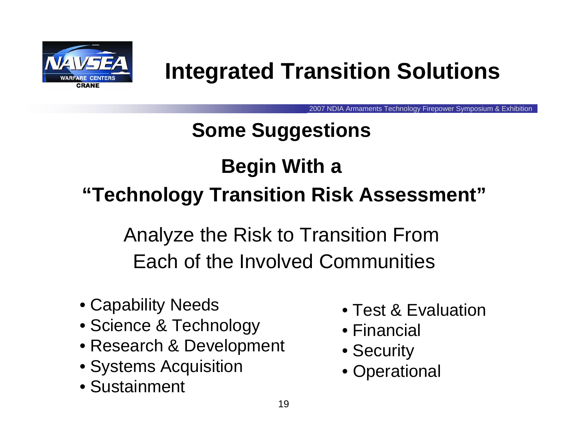

2007 NDIA Armaments Technology Firepower Symposium & Exhibition

# **Some Suggestions Begin With a "Technology Transition Risk Assessment"**

Analyze the Risk to Transition From Each of the Involved Communities

- Capability Needs
- Science & Technology
- Research & Development
- Systems Acquisition
- Sustainment
- Test & Evaluation
- Financial
- Security
- Operational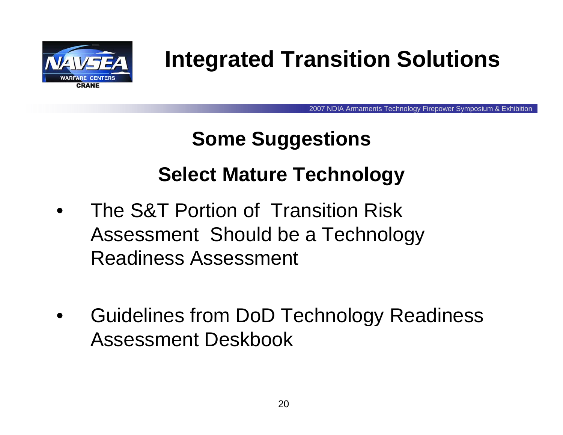

2007 NDIA Armaments Technology Firepower Symposium & Exhibition

# **Some Suggestions Select Mature Technology**

- • The S&T Portion of Transition Risk Assessment Should be a Technology Readiness Assessment
- • Guidelines from DoD Technology Readiness Assessment Deskbook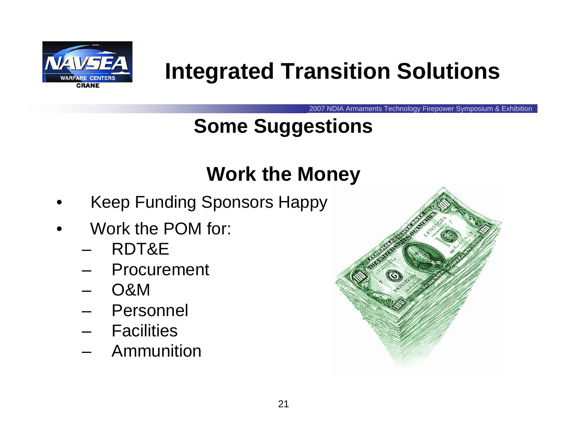

2007 NDIA Armaments Technology Firepower Symposium & Exhibition

## **Some Suggestions**

#### **Work the Money**

- •Keep Funding Sponsors Happy
- • Work the POM for:
	- and the state of the RDT&E
	- **Links of the Company** Procurement
	- –O&M
	- and the state of the Personnel
	- **Links of the Company** Facilities
	- –Ammunition

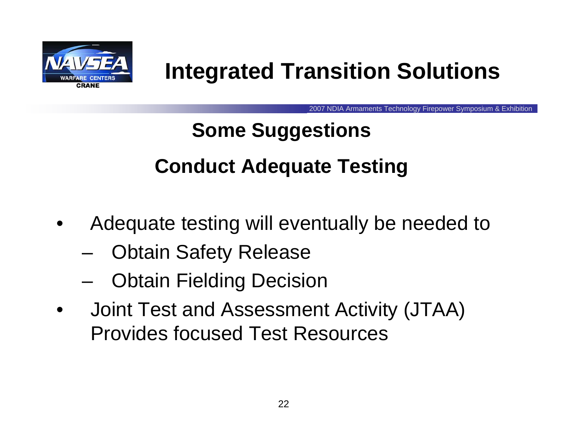

2007 NDIA Armaments Technology Firepower Symposium & Exhibition

## **Some Suggestions Conduct Adequate Testing**

- • Adequate testing will eventually be needed to
	- –Obtain Safety Release
	- –Obtain Fielding Decision
- • Joint Test and Assessment Activity (JTAA) Provides focused Test Resources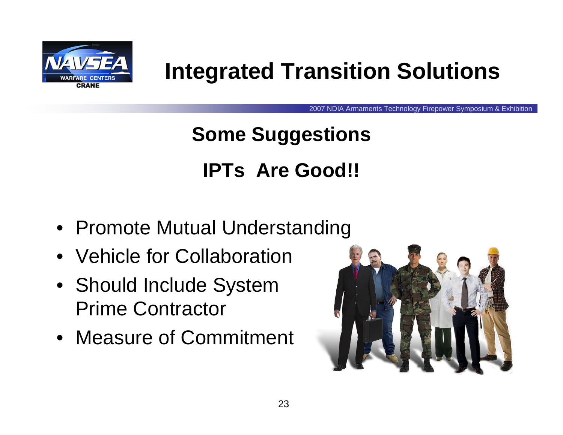

2007 NDIA Armaments Technology Firepower Symposium & Exhibition

## **Some Suggestions IPTs Are Good!!**

- Promote Mutual Understanding
- Vehicle for Collaboration
- Should Include System Prime Contractor
- Measure of Commitment

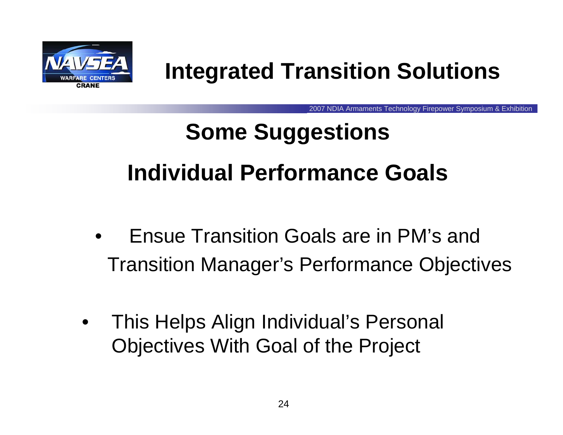

2007 NDIA Armaments Technology Firepower Symposium & Exhibition

# **Some Suggestions Individual Performance Goals**

- $\bullet$  Ensue Transition Goals are in PM's and Transition Manager's Performance Objectives
- $\bullet$  This Helps Align Individual's Personal Objectives With Goal of the Project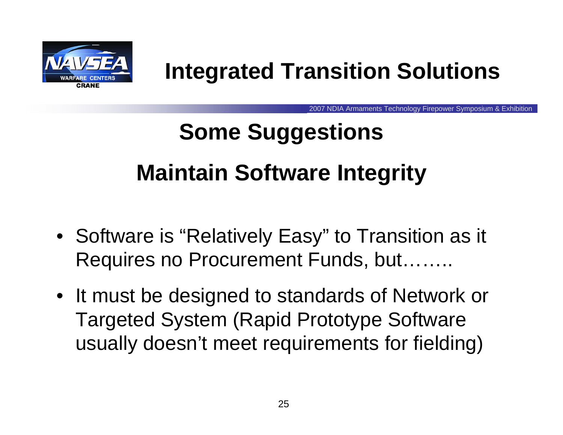

2007 NDIA Armaments Technology Firepower Symposium & Exhibition

# **Some Suggestions Maintain Software Integrity**

- Software is "Relatively Easy" to Transition as it Requires no Procurement Funds, but……..
- It must be designed to standards of Network or Targeted System (Rapid Prototype Software usually doesn't meet requirements for fielding)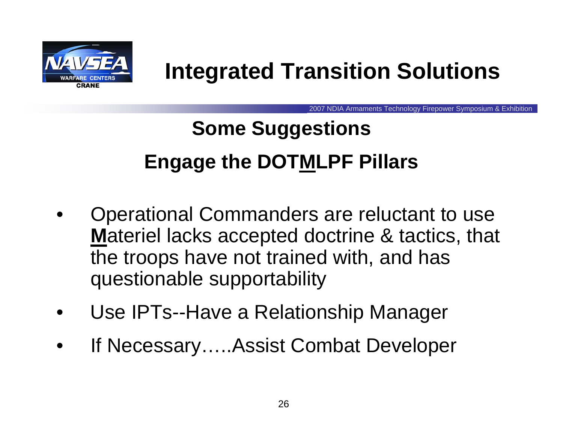

2007 NDIA Armaments Technology Firepower Symposium & Exhibition

## **Some Suggestions Engage the DOTMLPF Pillars**

- • Operational Commanders are reluctant to use **M**ateriel lacks accepted doctrine & tactics, that the troops have not trained with, and has questionable supportability
- •Use IPTs--Have a Relationship Manager
- •If Necessary…..Assist Combat Developer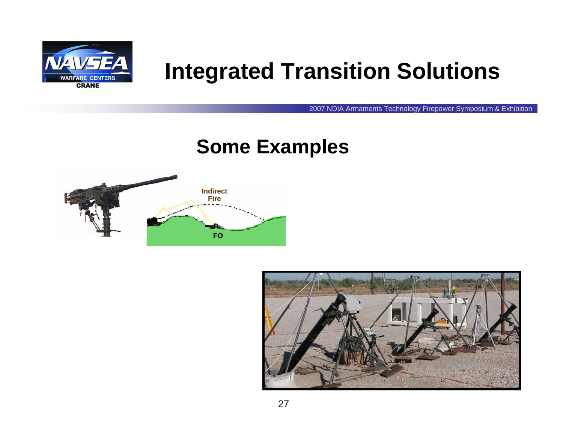

2007 NDIA Armaments Technology Firepower Symposium & Exhibition

#### **Some Examples**



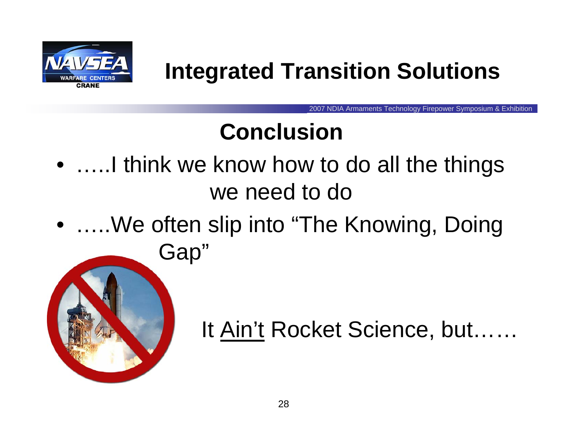

2007 NDIA Armaments Technology Firepower Symposium & Exhibition

## **Conclusion**

- …..I think we know how to do all the things we need to do
- …..We often slip into "The Knowing, Doing Gap"



It <u>Ain't</u> Rocket Science, but……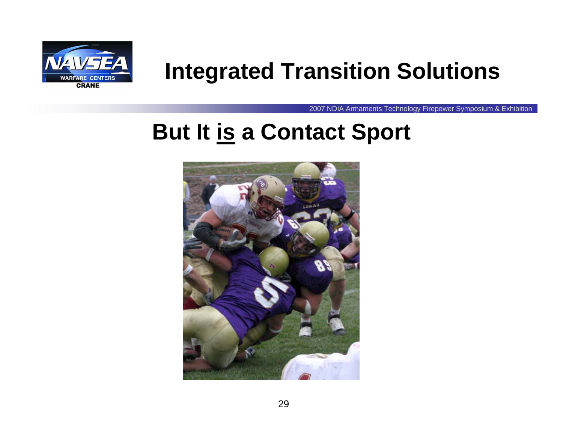

2007 NDIA Armaments Technology Firepower Symposium & Exhibition

## **But It is a Contact Sport**

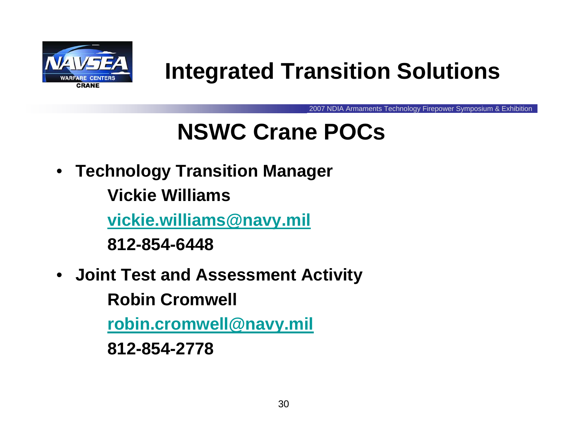

2007 NDIA Armaments Technology Firepower Symposium & Exhibition

## **NSWC Crane POCs**

• **Technology Transition Manager**

**Vickie Williams**

**[vickie.williams@navy.mil](mailto:vickie.williams@navy.mil)**

**812-854-6448**

 $\bullet$ **Joint Test and Assessment Activity**

**Robin Cromwell**

**[robin.cromwell@navy.mil](mailto:robin.cromwell@navy.mil)**

**812-854-2778**